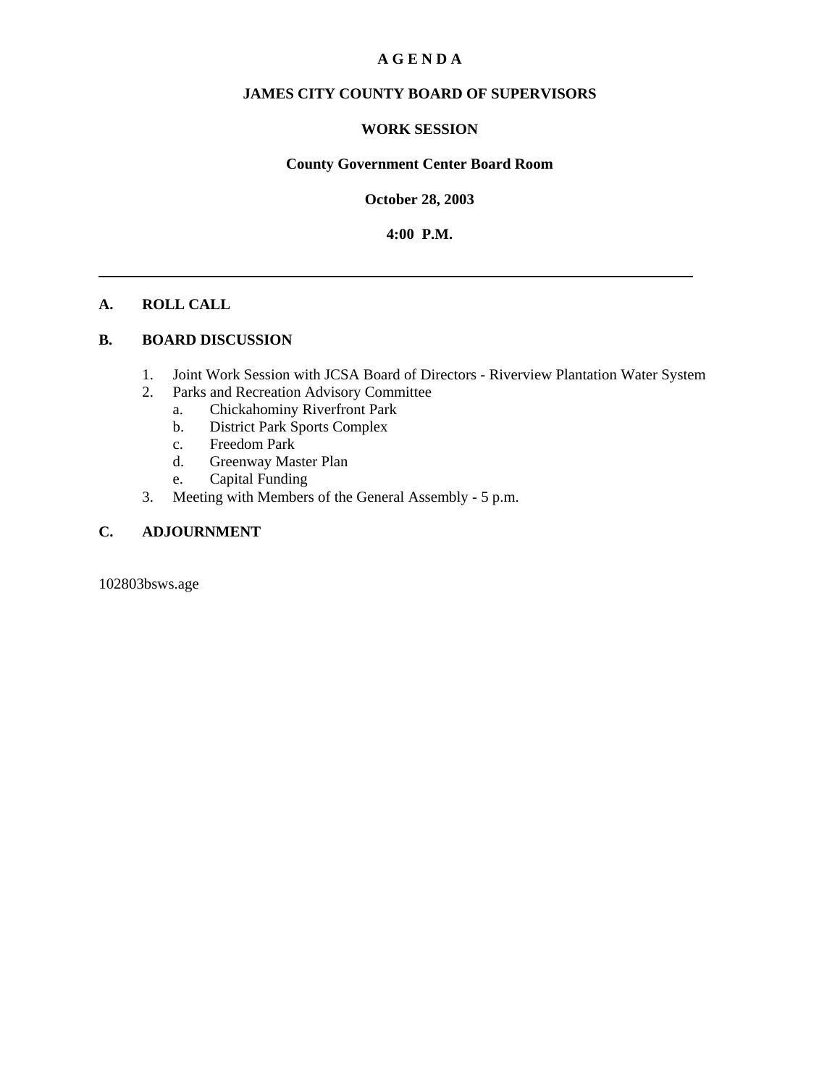#### **A G E N D A**

#### **JAMES CITY COUNTY BOARD OF SUPERVISORS**

#### **WORK SESSION**

#### **County Government Center Board Room**

**October 28, 2003**

**4:00 P.M.**

#### **A. ROLL CALL**

#### **B. BOARD DISCUSSION**

- 1. Joint Work Session with JCSA Board of Directors Riverview Plantation Water System
- 2. Parks and Recreation Advisory Committee
	- a. Chickahominy Riverfront Park
	- b. District Park Sports Complex
	- c. Freedom Park
	- d. Greenway Master Plan
	- e. Capital Funding
- 3. Meeting with Members of the General Assembly 5 p.m.

### **C. ADJOURNMENT**

102803bsws.age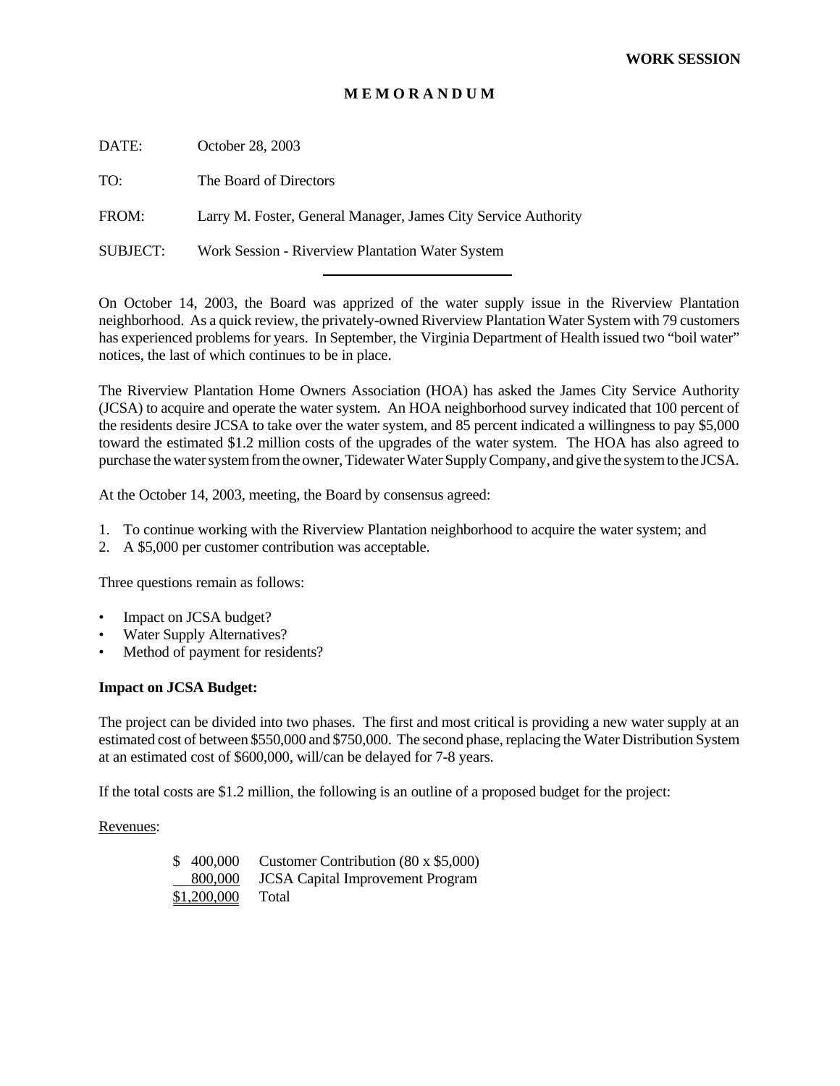#### **M E M O R A N D U M**

DATE: October 28, 2003

TO: The Board of Directors

FROM: Larry M. Foster, General Manager, James City Service Authority

SUBJECT: Work Session - Riverview Plantation Water System

l

On October 14, 2003, the Board was apprized of the water supply issue in the Riverview Plantation neighborhood. As a quick review, the privately-owned Riverview Plantation Water System with 79 customers has experienced problems for years. In September, the Virginia Department of Health issued two "boil water" notices, the last of which continues to be in place.

The Riverview Plantation Home Owners Association (HOA) has asked the James City Service Authority (JCSA) to acquire and operate the water system. An HOA neighborhood survey indicated that 100 percent of the residents desire JCSA to take over the water system, and 85 percent indicated a willingness to pay \$5,000 toward the estimated \$1.2 million costs of the upgrades of the water system. The HOA has also agreed to purchase the water system from the owner, Tidewater Water Supply Company, and give the system to the JCSA.

At the October 14, 2003, meeting, the Board by consensus agreed:

- 1. To continue working with the Riverview Plantation neighborhood to acquire the water system; and
- 2. A \$5,000 per customer contribution was acceptable.

Three questions remain as follows:

- Impact on JCSA budget?
- Water Supply Alternatives?
- Method of payment for residents?

#### **Impact on JCSA Budget:**

The project can be divided into two phases. The first and most critical is providing a new water supply at an estimated cost of between \$550,000 and \$750,000. The second phase, replacing the Water Distribution System at an estimated cost of \$600,000, will/can be delayed for 7-8 years.

If the total costs are \$1.2 million, the following is an outline of a proposed budget for the project:

Revenues:

| \$400,000   | Customer Contribution $(80 \times $5,000)$ |
|-------------|--------------------------------------------|
| 800,000     | <b>JCSA</b> Capital Improvement Program    |
| \$1,200,000 | Total                                      |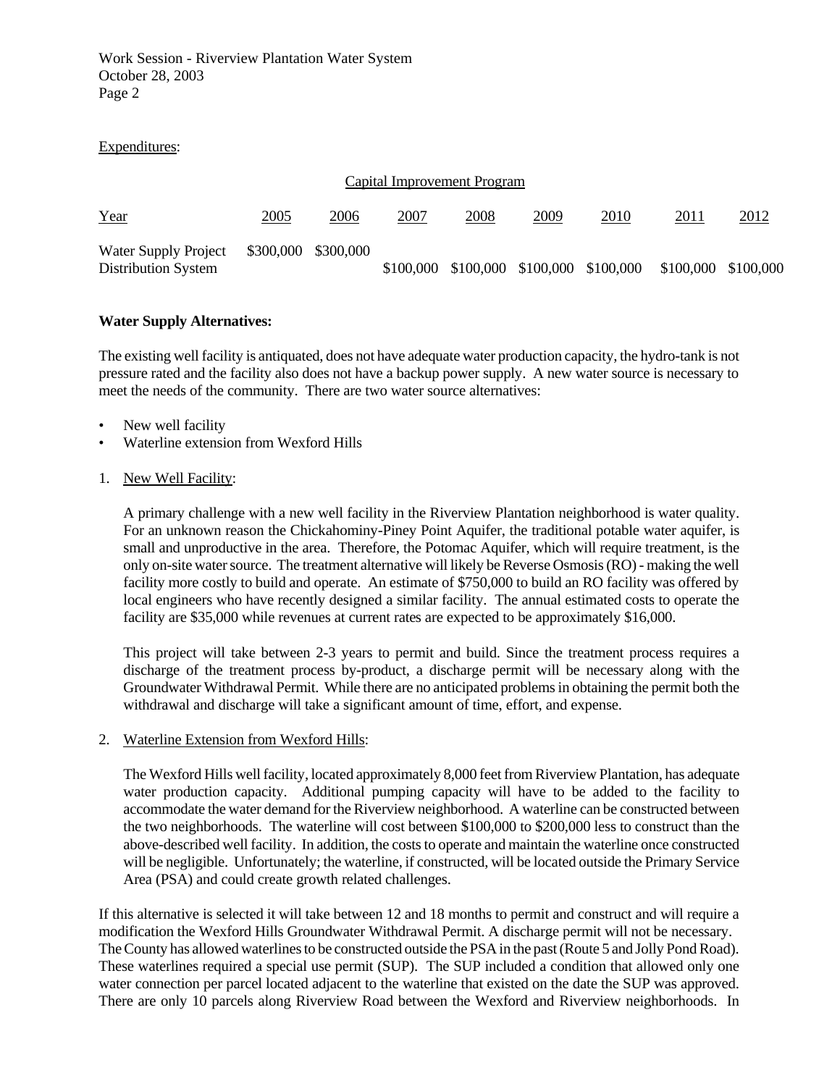Work Session - Riverview Plantation Water System October 28, 2003 Page 2

#### Expenditures:

| Capital Improvement Program                        |                     |      |           |      |      |                               |                     |      |  |  |
|----------------------------------------------------|---------------------|------|-----------|------|------|-------------------------------|---------------------|------|--|--|
| Year                                               | 2005                | 2006 | 2007      | 2008 | 2009 | 2010                          | 2011                | 2012 |  |  |
| Water Supply Project<br><b>Distribution System</b> | \$300,000 \$300,000 |      | \$100,000 |      |      | \$100,000 \$100,000 \$100,000 | \$100,000 \$100,000 |      |  |  |

#### **Water Supply Alternatives:**

The existing well facility is antiquated, does not have adequate water production capacity, the hydro-tank is not pressure rated and the facility also does not have a backup power supply. A new water source is necessary to meet the needs of the community. There are two water source alternatives:

- New well facility
- Waterline extension from Wexford Hills
- 1. New Well Facility:

A primary challenge with a new well facility in the Riverview Plantation neighborhood is water quality. For an unknown reason the Chickahominy-Piney Point Aquifer, the traditional potable water aquifer, is small and unproductive in the area. Therefore, the Potomac Aquifer, which will require treatment, is the only on-site water source. The treatment alternative will likely be Reverse Osmosis (RO) - making the well facility more costly to build and operate. An estimate of \$750,000 to build an RO facility was offered by local engineers who have recently designed a similar facility. The annual estimated costs to operate the facility are \$35,000 while revenues at current rates are expected to be approximately \$16,000.

This project will take between 2-3 years to permit and build. Since the treatment process requires a discharge of the treatment process by-product, a discharge permit will be necessary along with the Groundwater Withdrawal Permit. While there are no anticipated problems in obtaining the permit both the withdrawal and discharge will take a significant amount of time, effort, and expense.

#### 2. Waterline Extension from Wexford Hills:

The Wexford Hills well facility, located approximately 8,000 feet from Riverview Plantation, has adequate water production capacity. Additional pumping capacity will have to be added to the facility to accommodate the water demand for the Riverview neighborhood. A waterline can be constructed between the two neighborhoods. The waterline will cost between \$100,000 to \$200,000 less to construct than the above-described well facility. In addition, the costs to operate and maintain the waterline once constructed will be negligible. Unfortunately; the waterline, if constructed, will be located outside the Primary Service Area (PSA) and could create growth related challenges.

If this alternative is selected it will take between 12 and 18 months to permit and construct and will require a modification the Wexford Hills Groundwater Withdrawal Permit. A discharge permit will not be necessary. The County has allowed waterlines to be constructed outside the PSA in the past (Route 5 and Jolly Pond Road). These waterlines required a special use permit (SUP). The SUP included a condition that allowed only one water connection per parcel located adjacent to the waterline that existed on the date the SUP was approved. There are only 10 parcels along Riverview Road between the Wexford and Riverview neighborhoods. In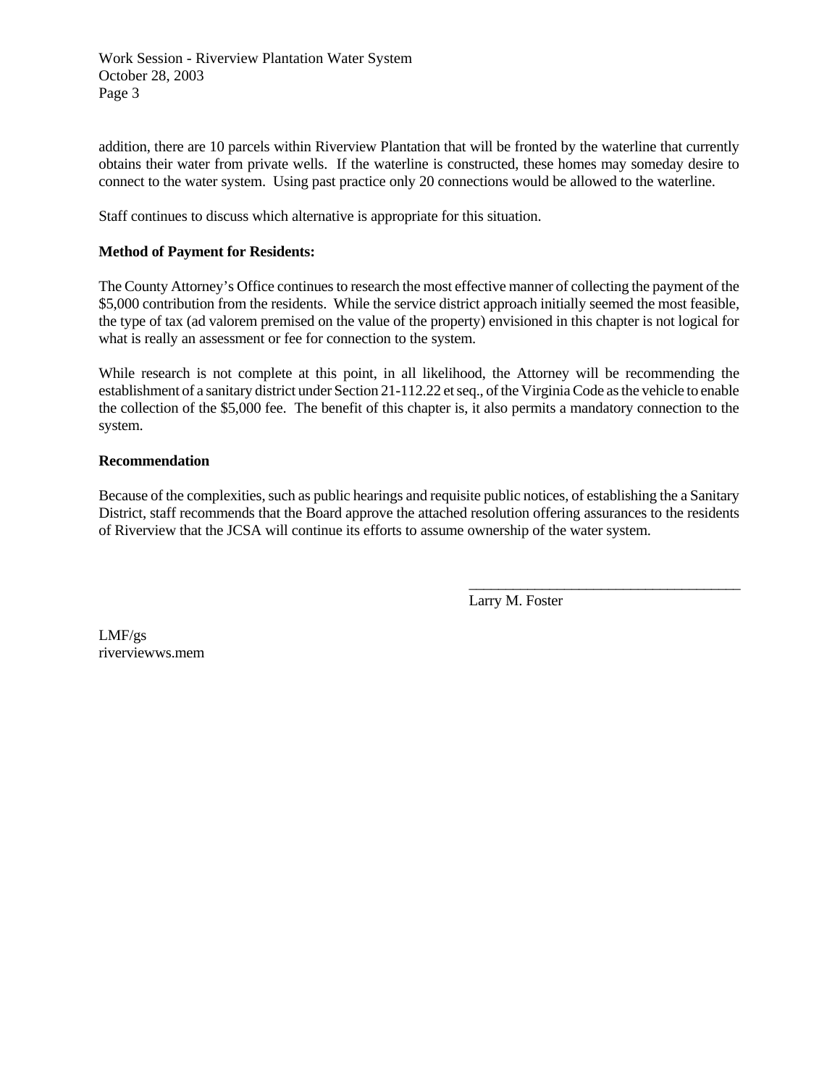Work Session - Riverview Plantation Water System October 28, 2003 Page 3

addition, there are 10 parcels within Riverview Plantation that will be fronted by the waterline that currently obtains their water from private wells. If the waterline is constructed, these homes may someday desire to connect to the water system. Using past practice only 20 connections would be allowed to the waterline.

Staff continues to discuss which alternative is appropriate for this situation.

#### **Method of Payment for Residents:**

The County Attorney's Office continues to research the most effective manner of collecting the payment of the \$5,000 contribution from the residents. While the service district approach initially seemed the most feasible, the type of tax (ad valorem premised on the value of the property) envisioned in this chapter is not logical for what is really an assessment or fee for connection to the system.

While research is not complete at this point, in all likelihood, the Attorney will be recommending the establishment of a sanitary district under Section 21-112.22 et seq., of the Virginia Code as the vehicle to enable the collection of the \$5,000 fee. The benefit of this chapter is, it also permits a mandatory connection to the system.

#### **Recommendation**

Because of the complexities, such as public hearings and requisite public notices, of establishing the a Sanitary District, staff recommends that the Board approve the attached resolution offering assurances to the residents of Riverview that the JCSA will continue its efforts to assume ownership of the water system.

Larry M. Foster

\_\_\_\_\_\_\_\_\_\_\_\_\_\_\_\_\_\_\_\_\_\_\_\_\_\_\_\_\_\_\_\_\_\_\_\_\_

LMF/gs riverviewws.mem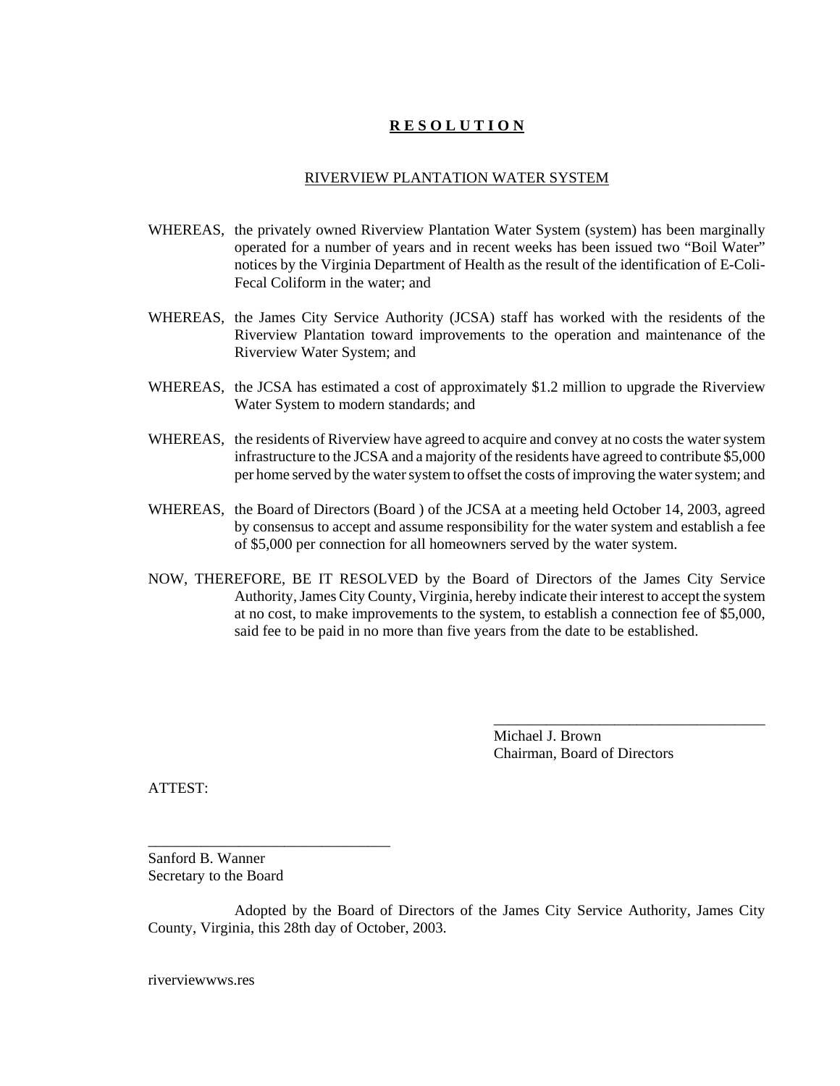# **R E S O L U T I O N**

#### RIVERVIEW PLANTATION WATER SYSTEM

- WHEREAS, the privately owned Riverview Plantation Water System (system) has been marginally operated for a number of years and in recent weeks has been issued two "Boil Water" notices by the Virginia Department of Health as the result of the identification of E-Coli-Fecal Coliform in the water; and
- WHEREAS, the James City Service Authority (JCSA) staff has worked with the residents of the Riverview Plantation toward improvements to the operation and maintenance of the Riverview Water System; and
- WHEREAS, the JCSA has estimated a cost of approximately \$1.2 million to upgrade the Riverview Water System to modern standards; and
- WHEREAS, the residents of Riverview have agreed to acquire and convey at no costs the water system infrastructure to the JCSA and a majority of the residents have agreed to contribute \$5,000 per home served by the water system to offset the costs of improving the water system; and
- WHEREAS, the Board of Directors (Board ) of the JCSA at a meeting held October 14, 2003, agreed by consensus to accept and assume responsibility for the water system and establish a fee of \$5,000 per connection for all homeowners served by the water system.
- NOW, THEREFORE, BE IT RESOLVED by the Board of Directors of the James City Service Authority, James City County, Virginia, hereby indicate their interest to accept the system at no cost, to make improvements to the system, to establish a connection fee of \$5,000, said fee to be paid in no more than five years from the date to be established.

Michael J. Brown Chairman, Board of Directors

\_\_\_\_\_\_\_\_\_\_\_\_\_\_\_\_\_\_\_\_\_\_\_\_\_\_\_\_\_\_\_\_\_\_\_\_

ATTEST:

Sanford B. Wanner Secretary to the Board

\_\_\_\_\_\_\_\_\_\_\_\_\_\_\_\_\_\_\_\_\_\_\_\_\_\_\_\_\_\_\_\_

Adopted by the Board of Directors of the James City Service Authority, James City County, Virginia, this 28th day of October, 2003.

riverviewwws.res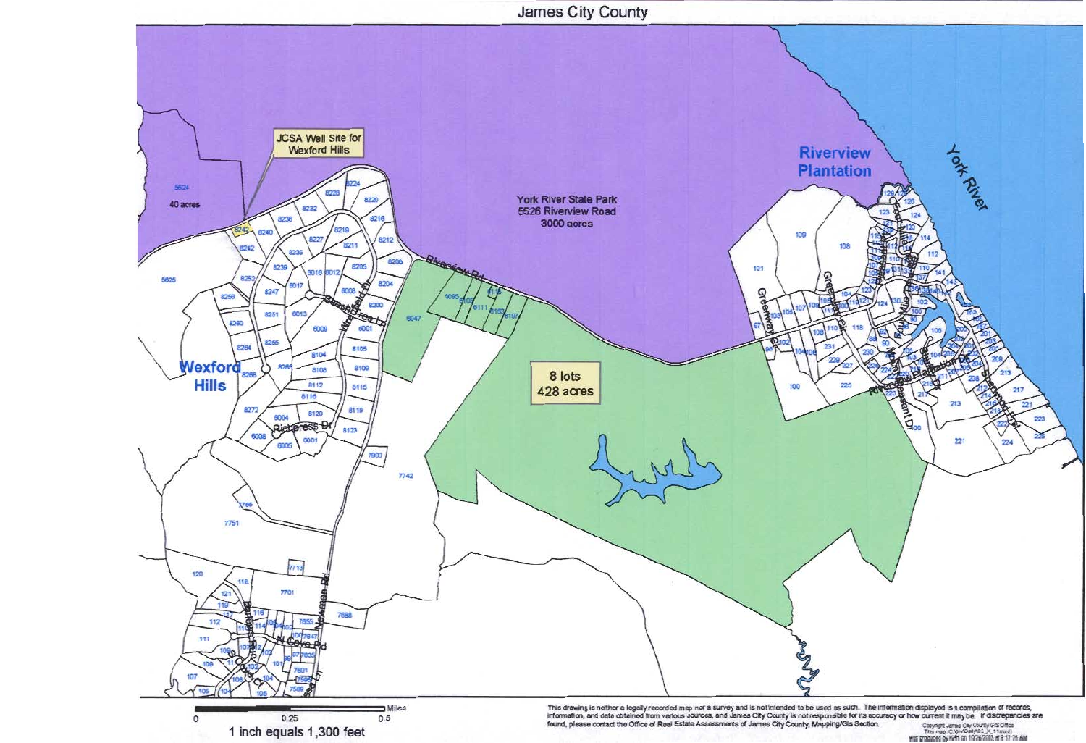

1 inch equals 1,300 feet

Copyright James City County GIS Office<br>This map (C'Gile Oally B.S. X, 11 mxd)<br>http://papel.ov.html on 1978/7003 at 8:17 76.6M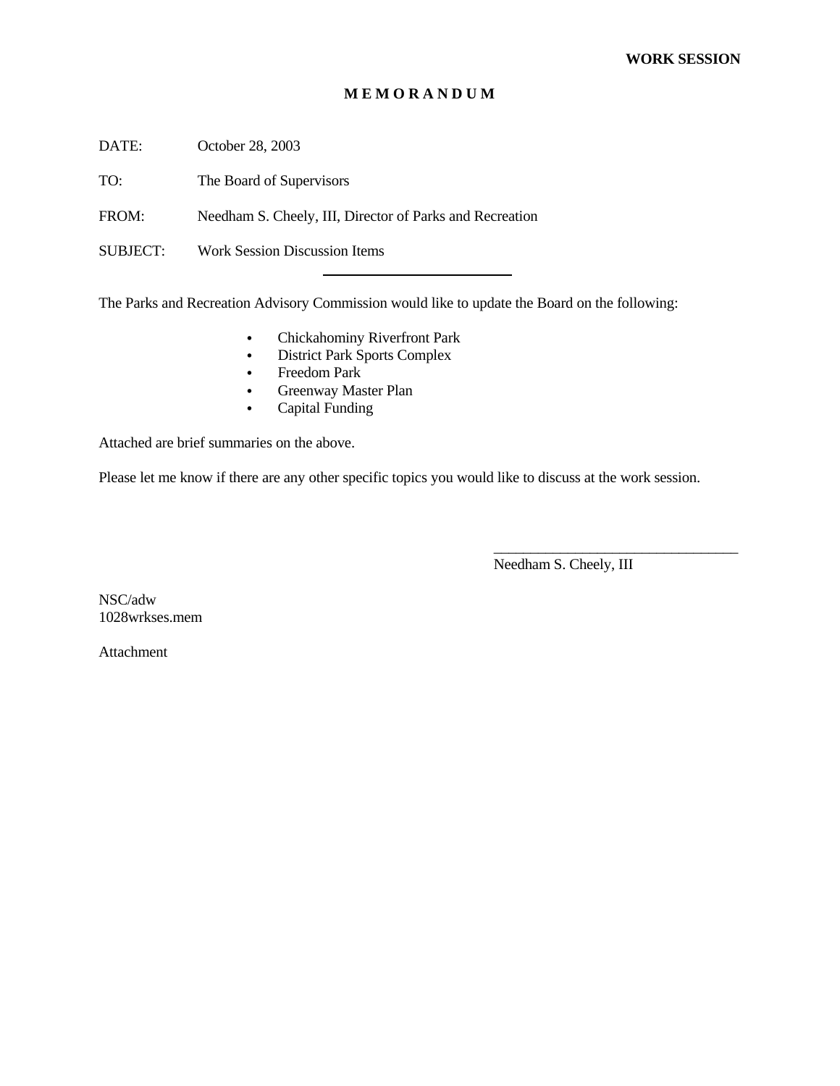#### **M E M O R A N D U M**

DATE: October 28, 2003

TO: The Board of Supervisors

FROM: Needham S. Cheely, III, Director of Parks and Recreation

l

SUBJECT: Work Session Discussion Items

The Parks and Recreation Advisory Commission would like to update the Board on the following:

- Chickahominy Riverfront Park
- District Park Sports Complex
- $\bullet$  Freedom Park
- Greenway Master Plan
- Capital Funding

Attached are brief summaries on the above.

Please let me know if there are any other specific topics you would like to discuss at the work session.

Needham S. Cheely, III

\_\_\_\_\_\_\_\_\_\_\_\_\_\_\_\_\_\_\_\_\_\_\_\_\_\_\_\_\_\_\_\_\_

NSC/adw 1028wrkses.mem

Attachment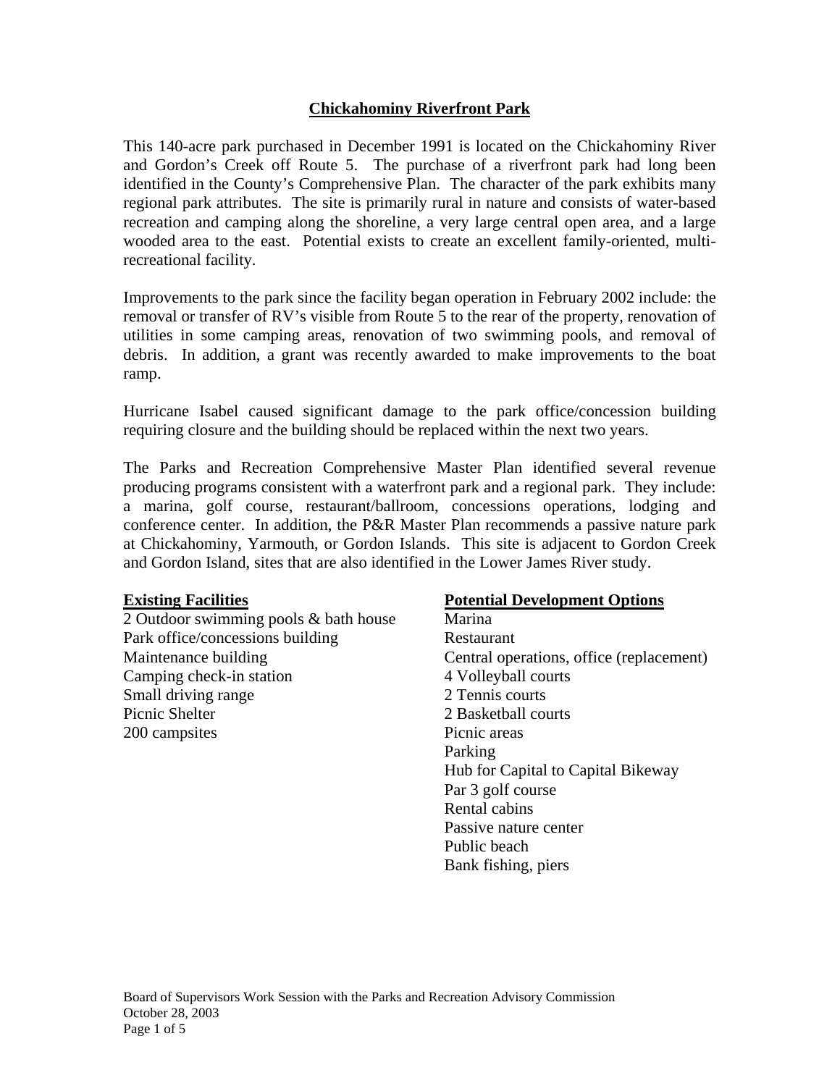# **Chickahominy Riverfront Park**

This 140-acre park purchased in December 1991 is located on the Chickahominy River and Gordon's Creek off Route 5. The purchase of a riverfront park had long been identified in the County's Comprehensive Plan. The character of the park exhibits many regional park attributes. The site is primarily rural in nature and consists of water-based recreation and camping along the shoreline, a very large central open area, and a large wooded area to the east. Potential exists to create an excellent family-oriented, multirecreational facility.

Improvements to the park since the facility began operation in February 2002 include: the removal or transfer of RV's visible from Route 5 to the rear of the property, renovation of utilities in some camping areas, renovation of two swimming pools, and removal of debris. In addition, a grant was recently awarded to make improvements to the boat ramp.

Hurricane Isabel caused significant damage to the park office/concession building requiring closure and the building should be replaced within the next two years.

The Parks and Recreation Comprehensive Master Plan identified several revenue producing programs consistent with a waterfront park and a regional park. They include: a marina, golf course, restaurant/ballroom, concessions operations, lodging and conference center. In addition, the P&R Master Plan recommends a passive nature park at Chickahominy, Yarmouth, or Gordon Islands. This site is adjacent to Gordon Creek and Gordon Island, sites that are also identified in the Lower James River study.

### **Existing Facilities**

2 Outdoor swimming pools & bath house Park office/concessions building Maintenance building Camping check-in station Small driving range Picnic Shelter 200 campsites

# **Potential Development Options**

Marina Restaurant Central operations, office (replacement) 4 Volleyball courts 2 Tennis courts 2 Basketball courts Picnic areas Parking Hub for Capital to Capital Bikeway Par 3 golf course Rental cabins Passive nature center Public beach Bank fishing, piers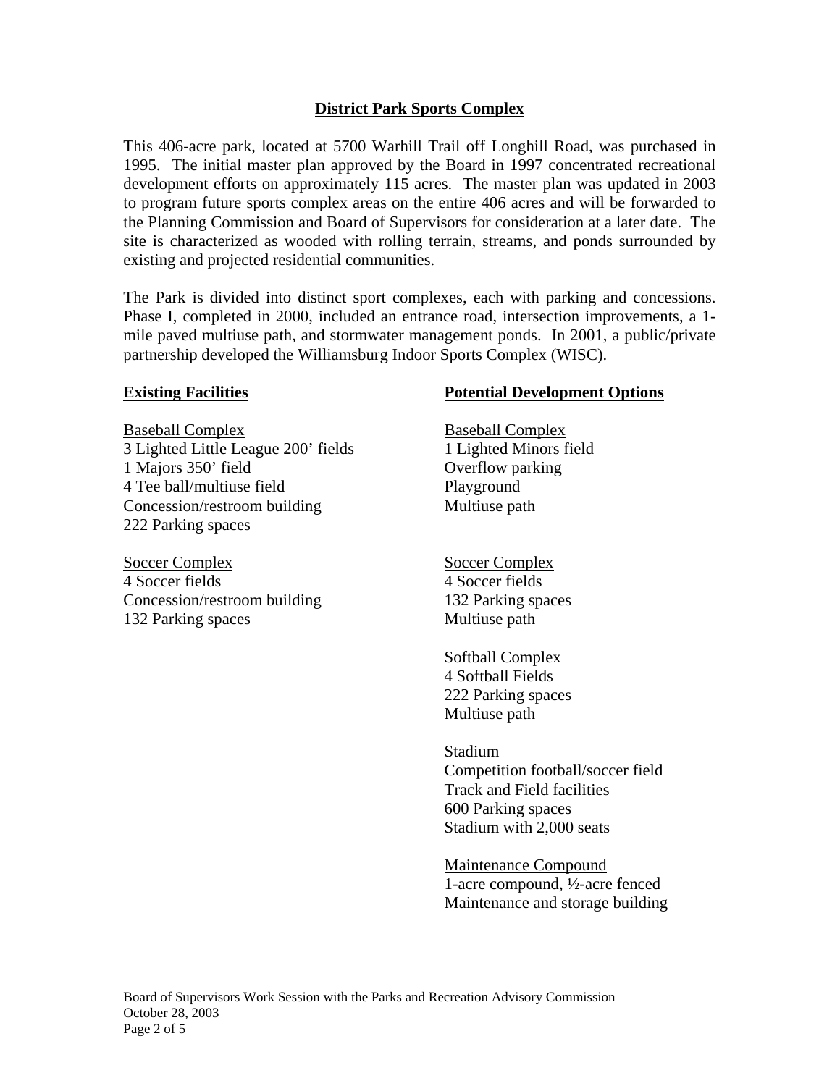# **District Park Sports Complex**

This 406-acre park, located at 5700 Warhill Trail off Longhill Road, was purchased in 1995. The initial master plan approved by the Board in 1997 concentrated recreational development efforts on approximately 115 acres. The master plan was updated in 2003 to program future sports complex areas on the entire 406 acres and will be forwarded to the Planning Commission and Board of Supervisors for consideration at a later date. The site is characterized as wooded with rolling terrain, streams, and ponds surrounded by existing and projected residential communities.

The Park is divided into distinct sport complexes, each with parking and concessions. Phase I, completed in 2000, included an entrance road, intersection improvements, a 1 mile paved multiuse path, and stormwater management ponds. In 2001, a public/private partnership developed the Williamsburg Indoor Sports Complex (WISC).

# **Existing Facilities**

Baseball Complex 3 Lighted Little League 200' fields 1 Majors 350' field 4 Tee ball/multiuse field Concession/restroom building 222 Parking spaces

Soccer Complex 4 Soccer fields Concession/restroom building 132 Parking spaces

# **Potential Development Options**

Baseball Complex 1 Lighted Minors field Overflow parking Playground Multiuse path

Soccer Complex 4 Soccer fields 132 Parking spaces Multiuse path

Softball Complex 4 Softball Fields 222 Parking spaces Multiuse path

### Stadium

Competition football/soccer field Track and Field facilities 600 Parking spaces Stadium with 2,000 seats

Maintenance Compound 1-acre compound, ½-acre fenced Maintenance and storage building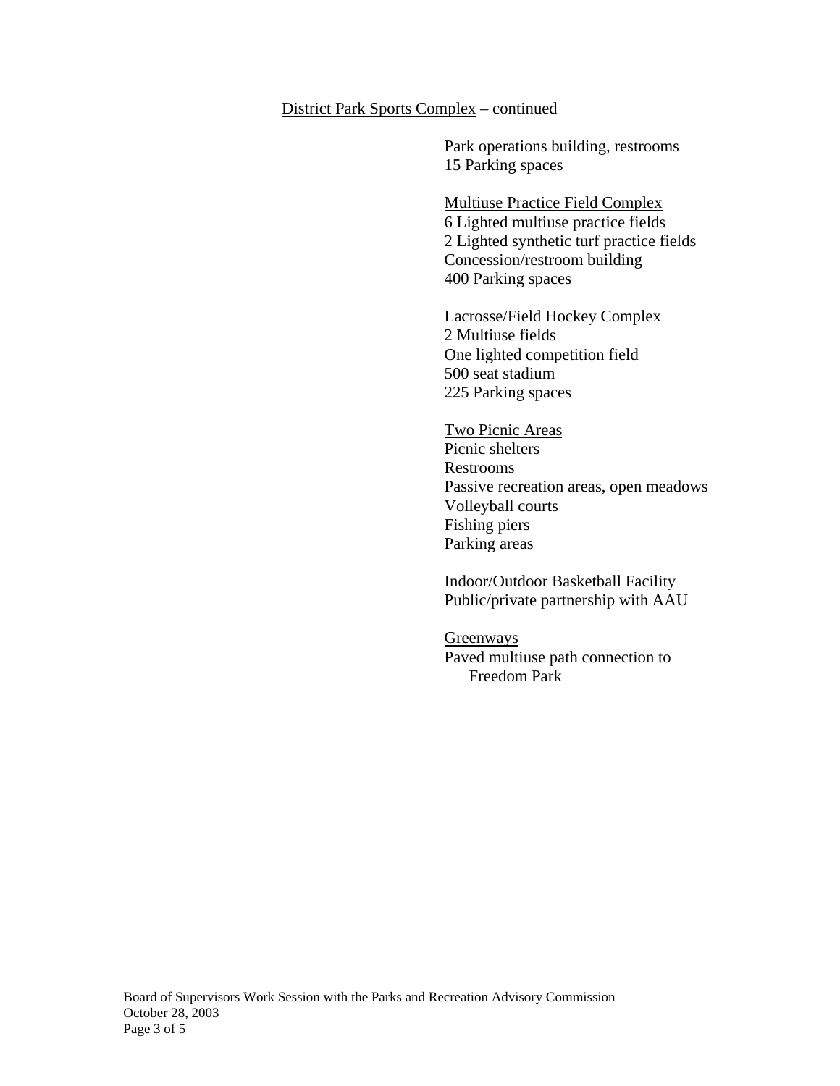#### District Park Sports Complex – continued

Park operations building, restrooms 15 Parking spaces

Multiuse Practice Field Complex 6 Lighted multiuse practice fields 2 Lighted synthetic turf practice fields Concession/restroom building 400 Parking spaces

# Lacrosse/Field Hockey Complex

2 Multiuse fields One lighted competition field 500 seat stadium 225 Parking spaces

Two Picnic Areas Picnic shelters Restrooms Passive recreation areas, open meadows Volleyball courts Fishing piers Parking areas

Indoor/Outdoor Basketball Facility Public/private partnership with AAU

**Greenways** Paved multiuse path connection to Freedom Park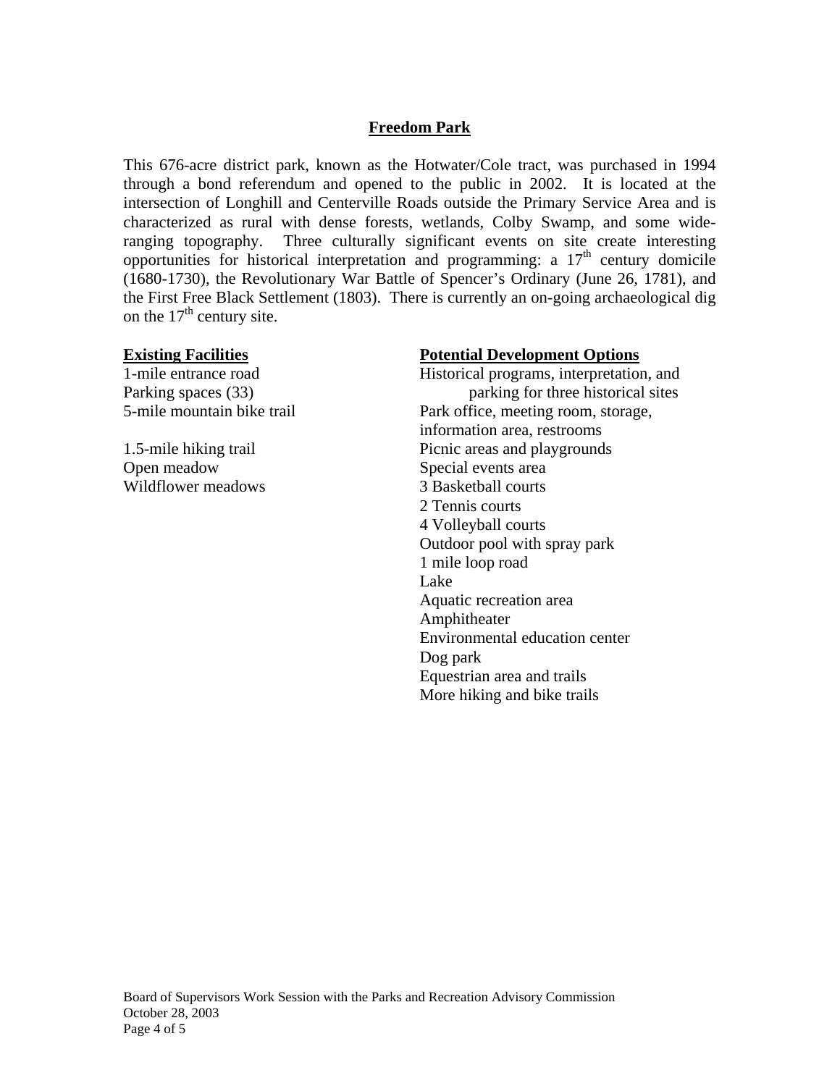# **Freedom Park**

This 676-acre district park, known as the Hotwater/Cole tract, was purchased in 1994 through a bond referendum and opened to the public in 2002. It is located at the intersection of Longhill and Centerville Roads outside the Primary Service Area and is characterized as rural with dense forests, wetlands, Colby Swamp, and some wideranging topography. Three culturally significant events on site create interesting opportunities for historical interpretation and programming: a  $17<sup>th</sup>$  century domicile (1680-1730), the Revolutionary War Battle of Spencer's Ordinary (June 26, 1781), and the First Free Black Settlement (1803). There is currently an on-going archaeological dig on the  $17<sup>th</sup>$  century site.

Open meadow Special events area Wildflower meadows 3 Basketball courts

# **Existing Facilities Potential Development Options**

1-mile entrance road Historical programs, interpretation, and Parking spaces (33) parking for three historical sites 5-mile mountain bike trail Park office, meeting room, storage, information area, restrooms 1.5-mile hiking trail Picnic areas and playgrounds 2 Tennis courts 4 Volleyball courts Outdoor pool with spray park 1 mile loop road Lake Aquatic recreation area Amphitheater Environmental education center Dog park Equestrian area and trails More hiking and bike trails